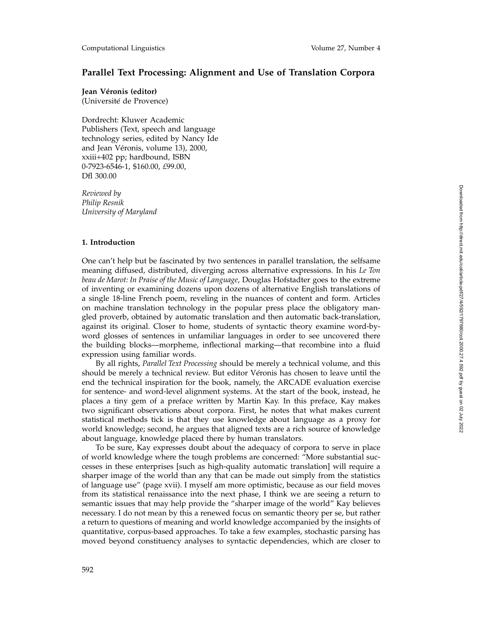# **Parallel Text Processing: Alignment and Use of Translation Corpora**

**Jean Véronis (editor)** 

(Université de Provence)

Dordrecht: Kluwer Academic Publishers (Text, speech and language technology series, edited by Nancy Ide and Jean Véronis, volume 13), 2000, xxiii+402 pp; hardbound, ISBN 0-7923-6546-1, \$160.00, *£*99.00, Dfl 300.00

*Reviewed by Philip Resnik University of Maryland*

### **1. Introduction**

One can't help but be fascinated by two sentences in parallel translation, the selfsame meaning diffused, distributed, diverging across alternative expressions. In his *Le Ton beau de Marot: In Praise of the Music of Language*, Douglas Hofstadter goes to the extreme of inventing or examining dozens upon dozens of alternative English translations of a single 18-line French poem, reveling in the nuances of content and form. Articles on machine translation technology in the popular press place the obligatory mangled proverb, obtained by automatic translation and then automatic back-translation, against its original. Closer to home, students of syntactic theory examine word-byword glosses of sentences in unfamiliar languages in order to see uncovered there the building blocks—morpheme, inflectional marking—that recombine into a fluid expression using familiar words.

By all rights, *Parallel Text Processing* should be merely a technical volume, and this should be merely a technical review. But editor Véronis has chosen to leave until the end the technical inspiration for the book, namely, the ARCADE evaluation exercise for sentence- and word-level alignment systems. At the start of the book, instead, he places a tiny gem of a preface written by Martin Kay. In this preface, Kay makes two significant observations about corpora. First, he notes that what makes current statistical methods tick is that they use knowledge about language as a proxy for world knowledge; second, he argues that aligned texts are a rich source of knowledge about language, knowledge placed there by human translators.

To be sure, Kay expresses doubt about the adequacy of corpora to serve in place of world knowledge where the tough problems are concerned: "More substantial successes in these enterprises [such as high-quality automatic translation] will require a sharper image of the world than any that can be made out simply from the statistics of language use" (page xvii). I myself am more optimistic, because as our field moves from its statistical renaissance into the next phase, I think we are seeing a return to semantic issues that may help provide the "sharper image of the world" Kay believes necessary. I do not mean by this a renewed focus on semantic theory per se, but rather a return to questions of meaning and world knowledge accompanied by the insights of quantitative, corpus-based approaches. To take a few examples, stochastic parsing has moved beyond constituency analyses to syntactic dependencies, which are closer to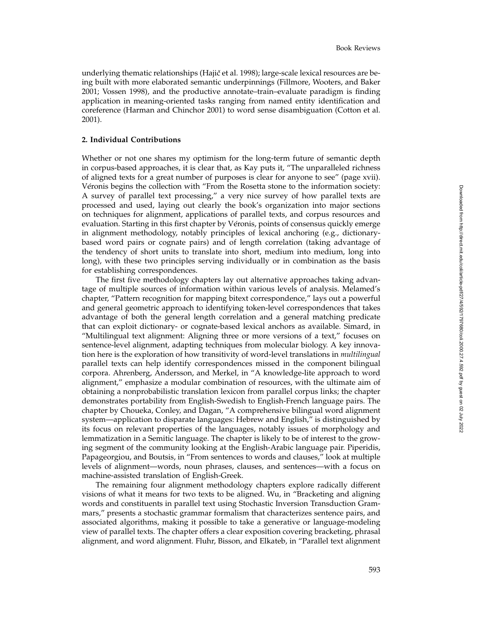underlying thematic relationships (Hajič et al. 1998); large-scale lexical resources are being built with more elaborated semantic underpinnings (Fillmore, Wooters, and Baker 2001; Vossen 1998), and the productive annotate–train–evaluate paradigm is finding application in meaning-oriented tasks ranging from named entity identification and coreference (Harman and Chinchor 2001) to word sense disambiguation (Cotton et al. 2001).

## **2. Individual Contributions**

Whether or not one shares my optimism for the long-term future of semantic depth in corpus-based approaches, it is clear that, as Kay puts it, "The unparalleled richness of aligned texts for a great number of purposes is clear for anyone to see" (page xvii). Véronis begins the collection with "From the Rosetta stone to the information society: A survey of parallel text processing," a very nice survey of how parallel texts are processed and used, laying out clearly the book's organization into major sections on techniques for alignment, applications of parallel texts, and corpus resources and evaluation. Starting in this first chapter by Véronis, points of consensus quickly emerge in alignment methodology, notably principles of lexical anchoring (e.g., dictionarybased word pairs or cognate pairs) and of length correlation (taking advantage of the tendency of short units to translate into short, medium into medium, long into long), with these two principles serving individually or in combination as the basis for establishing correspondences.

The first five methodology chapters lay out alternative approaches taking advantage of multiple sources of information within various levels of analysis. Melamed's chapter, "Pattern recognition for mapping bitext correspondence," lays out a powerful and general geometric approach to identifying token-level correspondences that takes advantage of both the general length correlation and a general matching predicate that can exploit dictionary- or cognate-based lexical anchors as available. Simard, in "Multilingual text alignment: Aligning three or more versions of a text," focuses on sentence-level alignment, adapting techniques from molecular biology. A key innovation here is the exploration of how transitivity of word-level translations in *multilingual* parallel texts can help identify correspondences missed in the component bilingual corpora. Ahrenberg, Andersson, and Merkel, in "A knowledge-lite approach to word alignment," emphasize a modular combination of resources, with the ultimate aim of obtaining a nonprobabilistic translation lexicon from parallel corpus links; the chapter demonstrates portability from English-Swedish to English-French language pairs. The chapter by Choueka, Conley, and Dagan, "A comprehensive bilingual word alignment system—application to disparate languages: Hebrew and English," is distinguished by its focus on relevant properties of the languages, notably issues of morphology and lemmatization in a Semitic language. The chapter is likely to be of interest to the growing segment of the community looking at the English-Arabic language pair. Piperidis, Papageorgiou, and Boutsis, in "From sentences to words and clauses," look at multiple levels of alignment—words, noun phrases, clauses, and sentences—with a focus on machine-assisted translation of English-Greek.

The remaining four alignment methodology chapters explore radically different visions of what it means for two texts to be aligned. Wu, in "Bracketing and aligning words and constituents in parallel text using Stochastic Inversion Transduction Grammars," presents a stochastic grammar formalism that characterizes sentence pairs, and associated algorithms, making it possible to take a generative or language-modeling view of parallel texts. The chapter offers a clear exposition covering bracketing, phrasal alignment, and word alignment. Fluhr, Bisson, and Elkateb, in "Parallel text alignment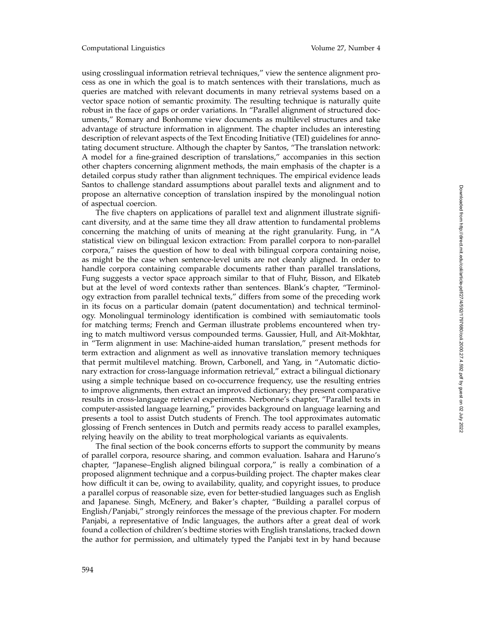using crosslingual information retrieval techniques," view the sentence alignment process as one in which the goal is to match sentences with their translations, much as queries are matched with relevant documents in many retrieval systems based on a vector space notion of semantic proximity. The resulting technique is naturally quite robust in the face of gaps or order variations. In "Parallel alignment of structured documents," Romary and Bonhomme view documents as multilevel structures and take advantage of structure information in alignment. The chapter includes an interesting description of relevant aspects of the Text Encoding Initiative (TEI) guidelines for annotating document structure. Although the chapter by Santos, "The translation network: A model for a fine-grained description of translations," accompanies in this section other chapters concerning alignment methods, the main emphasis of the chapter is a detailed corpus study rather than alignment techniques. The empirical evidence leads Santos to challenge standard assumptions about parallel texts and alignment and to propose an alternative conception of translation inspired by the monolingual notion of aspectual coercion.

The five chapters on applications of parallel text and alignment illustrate significant diversity, and at the same time they all draw attention to fundamental problems concerning the matching of units of meaning at the right granularity. Fung, in "A statistical view on bilingual lexicon extraction: From parallel corpora to non-parallel corpora," raises the question of how to deal with bilingual corpora containing noise, as might be the case when sentence-level units are not cleanly aligned. In order to handle corpora containing comparable documents rather than parallel translations, Fung suggests a vector space approach similar to that of Fluhr, Bisson, and Elkateb but at the level of word contexts rather than sentences. Blank's chapter, "Terminology extraction from parallel technical texts," differs from some of the preceding work in its focus on a particular domain (patent documentation) and technical terminology. Monolingual terminology identification is combined with semiautomatic tools for matching terms; French and German illustrate problems encountered when trying to match multiword versus compounded terms. Gaussier, Hull, and Aït-Mokhtar, in "Term alignment in use: Machine-aided human translation," present methods for term extraction and alignment as well as innovative translation memory techniques that permit multilevel matching. Brown, Carbonell, and Yang, in "Automatic dictionary extraction for cross-language information retrieval," extract a bilingual dictionary using a simple technique based on co-occurrence frequency, use the resulting entries to improve alignments, then extract an improved dictionary; they present comparative results in cross-language retrieval experiments. Nerbonne's chapter, "Parallel texts in computer-assisted language learning," provides background on language learning and presents a tool to assist Dutch students of French. The tool approximates automatic glossing of French sentences in Dutch and permits ready access to parallel examples, relying heavily on the ability to treat morphological variants as equivalents.

The final section of the book concerns efforts to support the community by means of parallel corpora, resource sharing, and common evaluation. Isahara and Haruno's chapter, "Japanese–English aligned bilingual corpora," is really a combination of a proposed alignment technique and a corpus-building project. The chapter makes clear how difficult it can be, owing to availability, quality, and copyright issues, to produce a parallel corpus of reasonable size, even for better-studied languages such as English and Japanese. Singh, McEnery, and Baker's chapter, "Building a parallel corpus of English/Panjabi," strongly reinforces the message of the previous chapter. For modern Panjabi, a representative of Indic languages, the authors after a great deal of work found a collection of children's bedtime stories with English translations, tracked down the author for permission, and ultimately typed the Panjabi text in by hand because